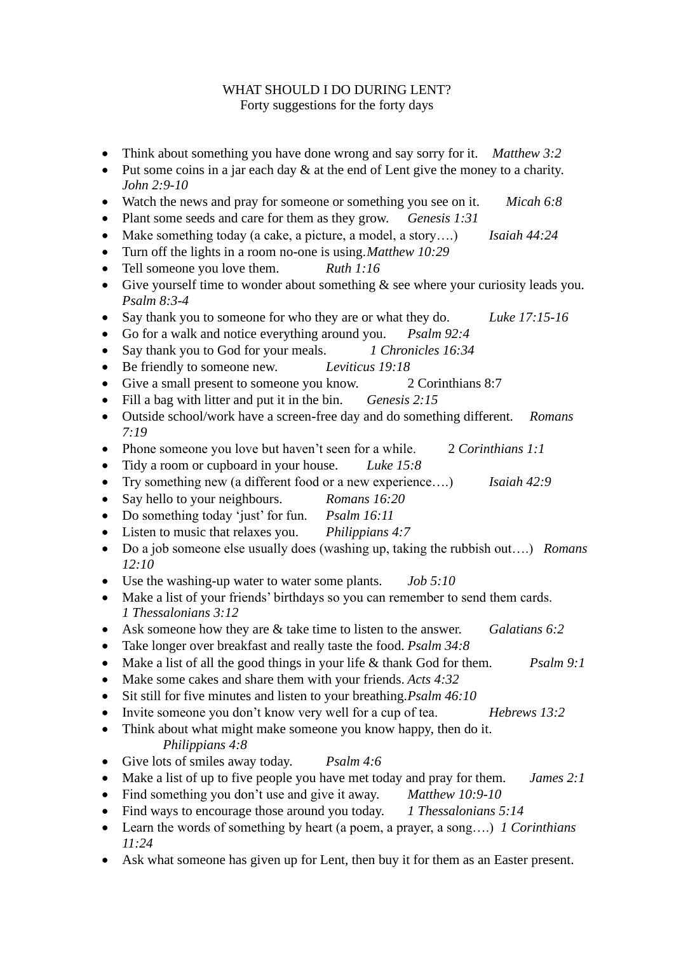## WHAT SHOULD I DO DURING LENT? Forty suggestions for the forty days

- Think about something you have done wrong and say sorry for it. *Matthew 3:2*
- Put some coins in a jar each day  $\&$  at the end of Lent give the money to a charity. *John 2:9-10*
- Watch the news and pray for someone or something you see on it. *Micah 6:8*
- Plant some seeds and care for them as they grow. *Genesis 1:31*
- Make something today (a cake, a picture, a model, a story….) *Isaiah 44:24*
- Turn off the lights in a room no-one is using.*Matthew 10:29*
- Tell someone you love them. *Ruth 1:16*
- Give yourself time to wonder about something  $\&$  see where your curiosity leads you. *Psalm 8:3-4*
- Say thank you to someone for who they are or what they do. *Luke 17:15-16*
- Go for a walk and notice everything around you. *Psalm 92:4*
- Say thank you to God for your meals. *1 Chronicles 16:34*
- Be friendly to someone new. *Leviticus 19:18*
- Give a small present to someone you know. 2 Corinthians 8:7
- Fill a bag with litter and put it in the bin. *Genesis 2:15*
- Outside school/work have a screen-free day and do something different. *Romans 7:19*
- Phone someone you love but haven't seen for a while. 2 *Corinthians 1:1*
- Tidy a room or cupboard in your house. *Luke 15:8*
- Try something new (a different food or a new experience….) *Isaiah 42:9*
- Say hello to your neighbours. *Romans 16:20*
- Do something today 'just' for fun. *Psalm 16:11*
- Listen to music that relaxes you. *Philippians 4:7*
- Do a job someone else usually does (washing up, taking the rubbish out….) *Romans 12:10*
- Use the washing-up water to water some plants. *Job 5:10*
- Make a list of your friends' birthdays so you can remember to send them cards. *1 Thessalonians 3:12*
- Ask someone how they are & take time to listen to the answer. *Galatians 6:2*
- Take longer over breakfast and really taste the food. *Psalm 34:8*
- Make a list of all the good things in your life & thank God for them. *Psalm 9:1*
- Make some cakes and share them with your friends. *Acts 4:32*
- Sit still for five minutes and listen to your breathing.*Psalm 46:10*
- Invite someone you don't know very well for a cup of tea. *Hebrews 13:2*
- Think about what might make someone you know happy, then do it. *Philippians 4:8*
- Give lots of smiles away today. *Psalm 4:6*
- Make a list of up to five people you have met today and pray for them. *James 2:1*
- Find something you don't use and give it away. *Matthew 10:9-10*
- Find ways to encourage those around you today. *1 Thessalonians 5:14*
- Learn the words of something by heart (a poem, a prayer, a song….) *1 Corinthians 11:24*
- Ask what someone has given up for Lent, then buy it for them as an Easter present.